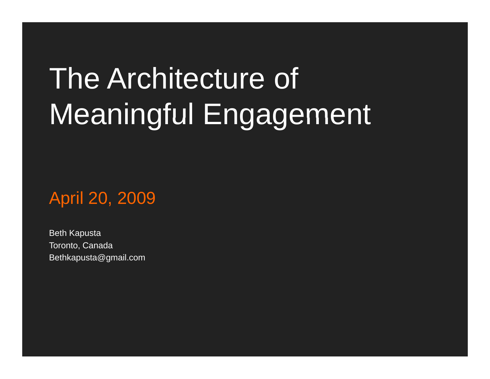# The Architecture of Meaningful Engagement

April 20, 2009

Beth Kapusta Toronto, Canada Bethkapusta@gmail.com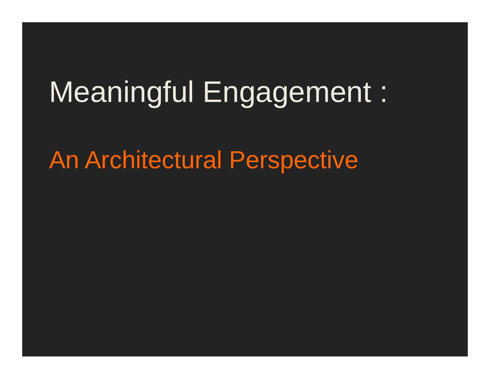## Meaningful Engagement :

#### An Architectural Perspective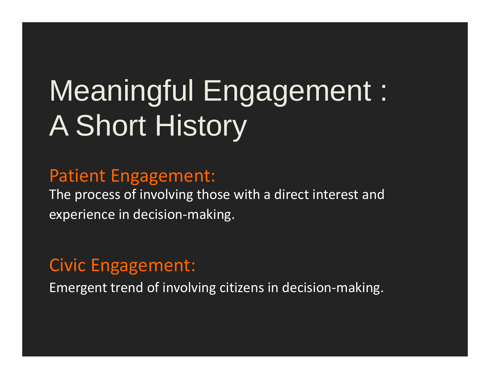# **Meaningful Engagement:** A Short History

#### **Patient Engagement:**

The process of involving those with a direct interest and experience in decision-making.

#### **Civic Engagement:**

Emergent trend of involving citizens in decision-making.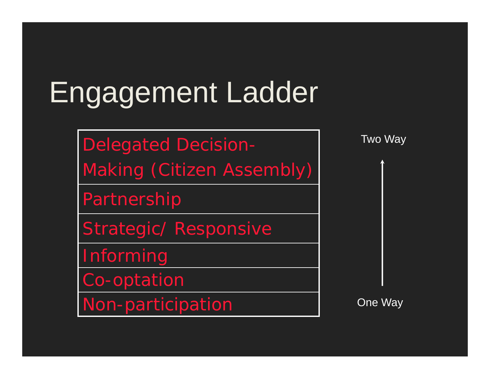### Engagement Ladder

Delegated Decision-

<sup>M</sup> ki (Citi <sup>A</sup> bl ) Two Way Making (Citizen Assembl y)

Partnership

Strategic/ Responsive

Informing

Co-optation

Non -participation One Wa

One Way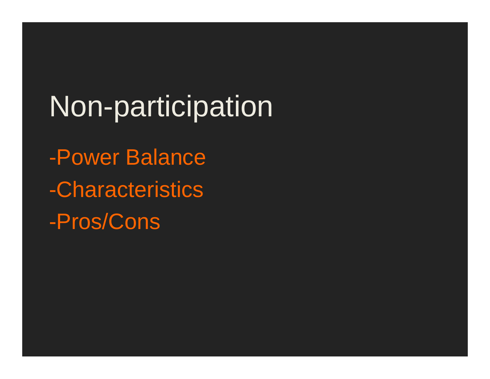Non-participation -Power Balance -Characteristics -Pros/Cons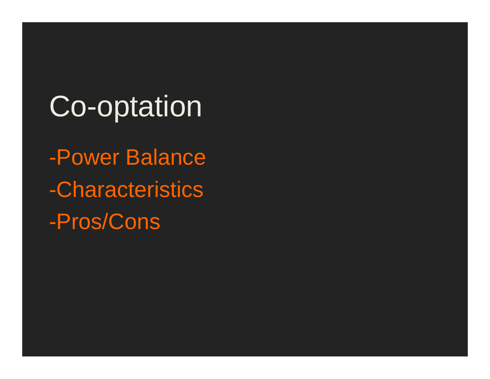## Co-optation

-Power Balance -Characteristics -Pros/Cons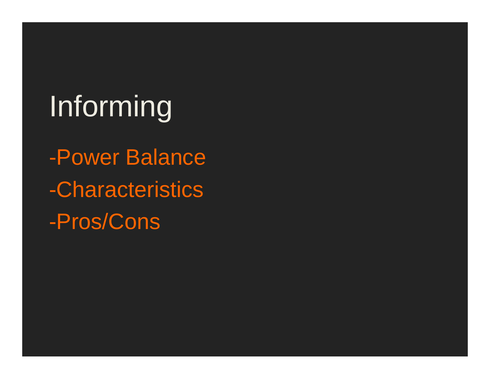# Informing

-Power Balance -Characteristics -Pros/Cons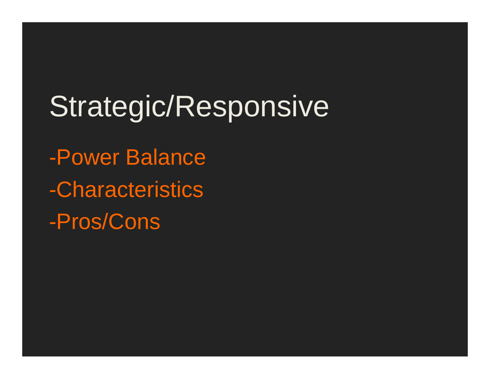Strategic/Responsive -Power Balance -Characteristics -Pros/Cons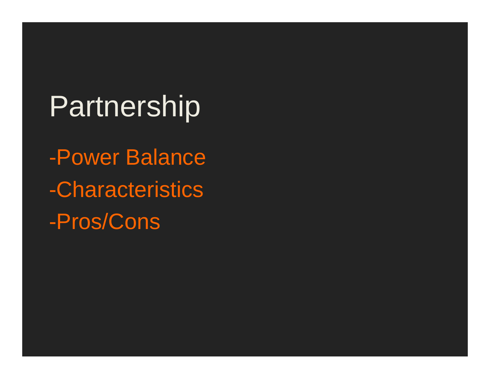### Partnership

-Power Balance -Characteristics -Pros/Cons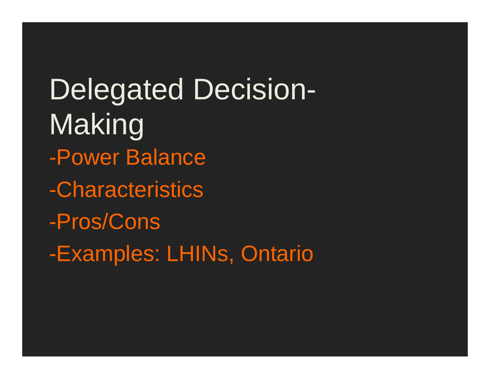Delegated Decision-Maki akıng -Power Balance -Characteristics -Pros/Cons -Examples: LHINs, Ontario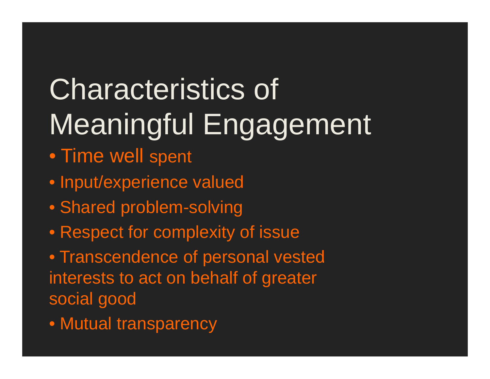#### Characteristics of Meaningful Engagement ul Engagemen

- Time well s pent
- Input/experience valued
- Shared problem-solving
- Respect for complexity of issue

• Transcendence of personal vested interests to act on behalf of greater social good

• Mutual transparency